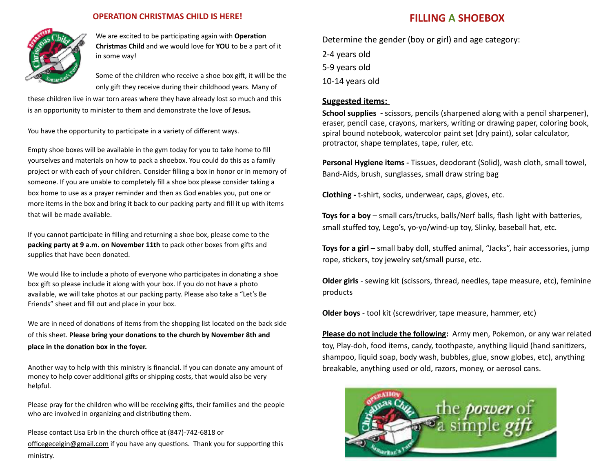

## **OPERATION CHRISTMAS CHILD IS HERE!**

We are excited to be participating again with **Operation Christmas Child** and we would love for **YOU** to be a part of it in some way!

Some of the children who receive a shoe box gift, it will be the only gift they receive during their childhood years. Many of

these children live in war torn areas where they have already lost so much and this is an opportunity to minister to them and demonstrate the love of Jesus.

You have the opportunity to participate in a variety of different ways.

Empty shoe boxes will be available in the gym today for you to take home to fill yourselves and materials on how to pack a shoebox. You could do this as a family project or with each of your children. Consider filling a box in honor or in memory of someone. If you are unable to completely fill a shoe box please consider taking a box home to use as a prayer reminder and then as God enables you, put one or more items in the box and bring it back to our packing party and fill it up with items that will be made available.

If you cannot participate in filling and returning a shoe box, please come to the **packing party at 9 a.m. on November 11th** to pack other boxes from gifts and supplies that have been donated.

We would like to include a photo of everyone who participates in donating a shoe box gift so please include it along with your box. If you do not have a photo available, we will take photos at our packing party. Please also take a "Let's Be Friends" sheet and fill out and place in your box.

We are in need of donations of items from the shopping list located on the back side of this sheet. Please bring your donations to the church by November 8th and place in the donation box in the foyer.

Another way to help with this ministry is financial. If you can donate any amount of money to help cover additional gifts or shipping costs, that would also be very helpful. 

Please pray for the children who will be receiving gifts, their families and the people who are involved in organizing and distributing them.

Please contact Lisa Erb in the church office at (847)-742-6818 or officegecelgin@gmail.com if you have any questions. Thank you for supporting this ministry. 

## **FILLING A SHOEBOX**

Determine the gender (boy or girl) and age category:

2-4 years old 5-9 years old 

10-14 years old

## **Suggested items:**

**School supplies** - scissors, pencils (sharpened along with a pencil sharpener), eraser, pencil case, crayons, markers, writing or drawing paper, coloring book, spiral bound notebook, watercolor paint set (dry paint), solar calculator, protractor, shape templates, tape, ruler, etc.

**Personal Hygiene items - Tissues, deodorant (Solid), wash cloth, small towel,** Band-Aids, brush, sunglasses, small draw string bag

**Clothing** - t-shirt, socks, underwear, caps, gloves, etc.

**Toys for a boy** – small cars/trucks, balls/Nerf balls, flash light with batteries, small stuffed toy, Lego's, yo-yo/wind-up toy, Slinky, baseball hat, etc.

**Toys for a girl** – small baby doll, stuffed animal, "Jacks", hair accessories, jump rope, stickers, toy jewelry set/small purse, etc.

**Older girls** - sewing kit (scissors, thread, needles, tape measure, etc), feminine products 

**Older boys** - tool kit (screwdriver, tape measure, hammer, etc)

**Please do not include the following:** Army men, Pokemon, or any war related toy, Play-doh, food items, candy, toothpaste, anything liquid (hand sanitizers, shampoo, liquid soap, body wash, bubbles, glue, snow globes, etc), anything breakable, anything used or old, razors, money, or aerosol cans.